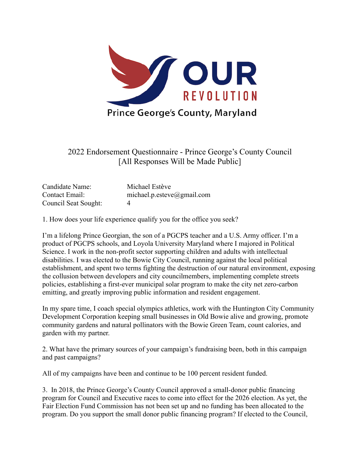

2022 Endorsement Questionnaire - Prince George's County Council [All Responses Will be Made Public]

| Candidate Name:      | Michael Estève             |
|----------------------|----------------------------|
| Contact Email:       | michael.p.esteve@gmail.com |
| Council Seat Sought: | 4                          |

1. How does your life experience qualify you for the office you seek?

I'm a lifelong Prince Georgian, the son of a PGCPS teacher and a U.S. Army officer. I'm a product of PGCPS schools, and Loyola University Maryland where I majored in Political Science. I work in the non-profit sector supporting children and adults with intellectual disabilities. I was elected to the Bowie City Council, running against the local political establishment, and spent two terms fighting the destruction of our natural environment, exposing the collusion between developers and city councilmembers, implementing complete streets policies, establishing a first-ever municipal solar program to make the city net zero-carbon emitting, and greatly improving public information and resident engagement.

In my spare time, I coach special olympics athletics, work with the Huntington City Community Development Corporation keeping small businesses in Old Bowie alive and growing, promote community gardens and natural pollinators with the Bowie Green Team, count calories, and garden with my partner.

2. What have the primary sources of your campaign's fundraising been, both in this campaign and past campaigns?

All of my campaigns have been and continue to be 100 percent resident funded.

3. In 2018, the Prince George's County Council approved a small-donor public financing program for Council and Executive races to come into effect for the 2026 election. As yet, the Fair Election Fund Commission has not been set up and no funding has been allocated to the program. Do you support the small donor public financing program? If elected to the Council,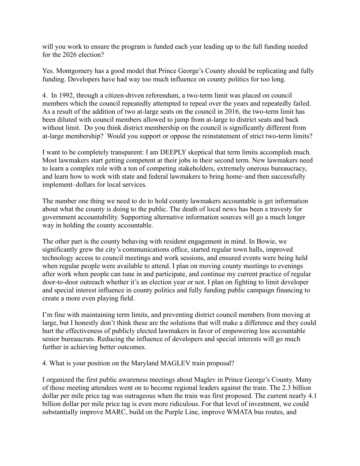will you work to ensure the program is funded each year leading up to the full funding needed for the 2026 election?

Yes. Montgomery has a good model that Prince George's County should be replicating and fully funding. Developers have had way too much influence on county politics for too long.

4. In 1992, through a citizen-driven referendum, a two-term limit was placed on council members which the council repeatedly attempted to repeal over the years and repeatedly failed. As a result of the addition of two at-large seats on the council in 2016, the two-term limit has been diluted with council members allowed to jump from at-large to district seats and back without limit. Do you think district membership on the council is significantly different from at-large membership? Would you support or oppose the reinstatement of strict two-term limits?

I want to be completely transparent: I am DEEPLY skeptical that term limits accomplish much. Most lawmakers start getting competent at their jobs in their second term. New lawmakers need to learn a complex role with a ton of competing stakeholders, extremely onerous bureaucracy, and learn how to work with state and federal lawmakers to bring home–and then successfully implement–dollars for local services.

The number one thing we need to do to hold county lawmakers accountable is get information about what the county is doing to the public. The death of local news has been a travesty for government accountability. Supporting alternative information sources will go a much longer way in holding the county accountable.

The other part is the county behaving with resident engagement in mind. In Bowie, we significantly grew the city's communications office, started regular town halls, improved technology access to council meetings and work sessions, and ensured events were being held when regular people were available to attend. I plan on moving county meetings to evenings after work when people can tune in and participate, and continue my current practice of regular door-to-door outreach whether it's an election year or not. I plan on fighting to limit developer and special interest influence in county politics and fully funding public campaign financing to create a more even playing field.

I'm fine with maintaining term limits, and preventing district council members from moving at large, but I honestly don't think these are the solutions that will make a difference and they could hurt the effectiveness of publicly elected lawmakers in favor of empowering less accountable senior bureaucrats. Reducing the influence of developers and special interests will go much further in achieving better outcomes.

## 4. What is your position on the Maryland MAGLEV train proposal?

I organized the first public awareness meetings about Maglev in Prince George's County. Many of those meeting attendees went on to become regional leaders against the train. The 2.3 billion dollar per mile price tag was outrageous when the train was first proposed. The current nearly 4.1 billion dollar per mile price tag is even more ridiculous. For that level of investment, we could substantially improve MARC, build on the Purple Line, improve WMATA bus routes, and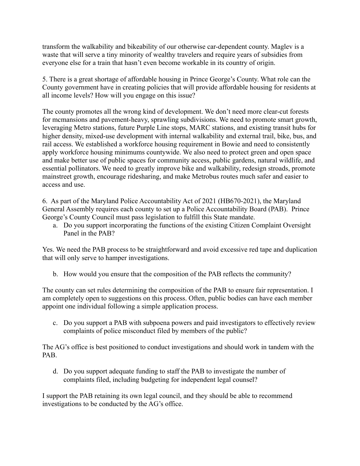transform the walkability and bikeability of our otherwise car-dependent county. Maglev is a waste that will serve a tiny minority of wealthy travelers and require years of subsidies from everyone else for a train that hasn't even become workable in its country of origin.

5. There is a great shortage of affordable housing in Prince George's County. What role can the County government have in creating policies that will provide affordable housing for residents at all income levels? How will you engage on this issue?

The county promotes all the wrong kind of development. We don't need more clear-cut forests for mcmansions and pavement-heavy, sprawling subdivisions. We need to promote smart growth, leveraging Metro stations, future Purple Line stops, MARC stations, and existing transit hubs for higher density, mixed-use development with internal walkability and external trail, bike, bus, and rail access. We established a workforce housing requirement in Bowie and need to consistently apply workforce housing minimums countywide. We also need to protect green and open space and make better use of public spaces for community access, public gardens, natural wildlife, and essential pollinators. We need to greatly improve bike and walkability, redesign stroads, promote mainstreet growth, encourage ridesharing, and make Metrobus routes much safer and easier to access and use.

6. As part of the Maryland Police Accountability Act of 2021 (HB670-2021), the Maryland General Assembly requires each county to set up a Police Accountability Board (PAB). Prince George's County Council must pass legislation to fulfill this State mandate.

a. Do you support incorporating the functions of the existing Citizen Complaint Oversight Panel in the PAB?

Yes. We need the PAB process to be straightforward and avoid excessive red tape and duplication that will only serve to hamper investigations.

b. How would you ensure that the composition of the PAB reflects the community?

The county can set rules determining the composition of the PAB to ensure fair representation. I am completely open to suggestions on this process. Often, public bodies can have each member appoint one individual following a simple application process.

c. Do you support a PAB with subpoena powers and paid investigators to effectively review complaints of police misconduct filed by members of the public?

The AG's office is best positioned to conduct investigations and should work in tandem with the PAB.

d. Do you support adequate funding to staff the PAB to investigate the number of complaints filed, including budgeting for independent legal counsel?

I support the PAB retaining its own legal council, and they should be able to recommend investigations to be conducted by the AG's office.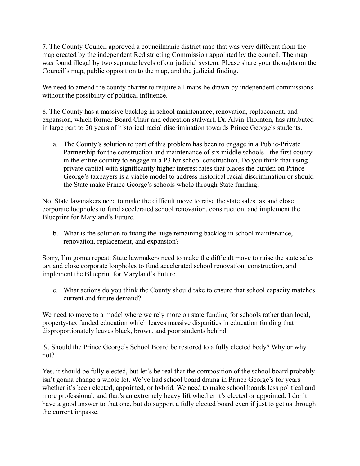7. The County Council approved a councilmanic district map that was very different from the map created by the independent Redistricting Commission appointed by the council. The map was found illegal by two separate levels of our judicial system. Please share your thoughts on the Council's map, public opposition to the map, and the judicial finding.

We need to amend the county charter to require all maps be drawn by independent commissions without the possibility of political influence.

8. The County has a massive backlog in school maintenance, renovation, replacement, and expansion, which former Board Chair and education stalwart, Dr. Alvin Thornton, has attributed in large part to 20 years of historical racial discrimination towards Prince George's students.

a. The County's solution to part of this problem has been to engage in a Public-Private Partnership for the construction and maintenance of six middle schools - the first county in the entire country to engage in a P3 for school construction. Do you think that using private capital with significantly higher interest rates that places the burden on Prince George's taxpayers is a viable model to address historical racial discrimination or should the State make Prince George's schools whole through State funding.

No. State lawmakers need to make the difficult move to raise the state sales tax and close corporate loopholes to fund accelerated school renovation, construction, and implement the Blueprint for Maryland's Future.

b. What is the solution to fixing the huge remaining backlog in school maintenance, renovation, replacement, and expansion?

Sorry, I'm gonna repeat: State lawmakers need to make the difficult move to raise the state sales tax and close corporate loopholes to fund accelerated school renovation, construction, and implement the Blueprint for Maryland's Future.

c. What actions do you think the County should take to ensure that school capacity matches current and future demand?

We need to move to a model where we rely more on state funding for schools rather than local, property-tax funded education which leaves massive disparities in education funding that disproportionately leaves black, brown, and poor students behind.

9. Should the Prince George's School Board be restored to a fully elected body? Why or why not?

Yes, it should be fully elected, but let's be real that the composition of the school board probably isn't gonna change a whole lot. We've had school board drama in Prince George's for years whether it's been elected, appointed, or hybrid. We need to make school boards less political and more professional, and that's an extremely heavy lift whether it's elected or appointed. I don't have a good answer to that one, but do support a fully elected board even if just to get us through the current impasse.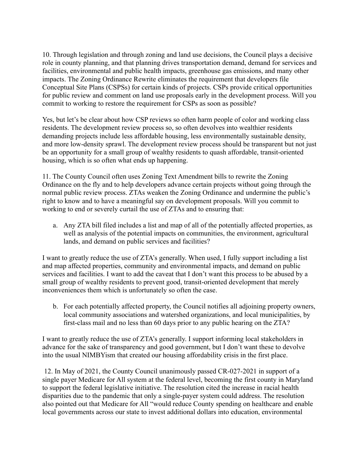10. Through legislation and through zoning and land use decisions, the Council plays a decisive role in county planning, and that planning drives transportation demand, demand for services and facilities, environmental and public health impacts, greenhouse gas emissions, and many other impacts. The Zoning Ordinance Rewrite eliminates the requirement that developers file Conceptual Site Plans (CSPSs) for certain kinds of projects. CSPs provide critical opportunities for public review and comment on land use proposals early in the development process. Will you commit to working to restore the requirement for CSPs as soon as possible?

Yes, but let's be clear about how CSP reviews so often harm people of color and working class residents. The development review process so, so often devolves into wealthier residents demanding projects include less affordable housing, less environmentally sustainable density, and more low-density sprawl. The development review process should be transparent but not just be an opportunity for a small group of wealthy residents to quash affordable, transit-oriented housing, which is so often what ends up happening.

11. The County Council often uses Zoning Text Amendment bills to rewrite the Zoning Ordinance on the fly and to help developers advance certain projects without going through the normal public review process. ZTAs weaken the Zoning Ordinance and undermine the public's right to know and to have a meaningful say on development proposals. Will you commit to working to end or severely curtail the use of ZTAs and to ensuring that:

a. Any ZTA bill filed includes a list and map of all of the potentially affected properties, as well as analysis of the potential impacts on communities, the environment, agricultural lands, and demand on public services and facilities?

I want to greatly reduce the use of ZTA's generally. When used, I fully support including a list and map affected properties, community and environmental impacts, and demand on public services and facilities. I want to add the caveat that I don't want this process to be abused by a small group of wealthy residents to prevent good, transit-oriented development that merely inconveniences them which is unfortunately so often the case.

b. For each potentially affected property, the Council notifies all adjoining property owners, local community associations and watershed organizations, and local municipalities, by first-class mail and no less than 60 days prior to any public hearing on the ZTA?

I want to greatly reduce the use of ZTA's generally. I support informing local stakeholders in advance for the sake of transparency and good government, but I don't want these to devolve into the usual NIMBYism that created our housing affordability crisis in the first place.

12. In May of 2021, the County Council unanimously passed CR-027-2021 in support of a single payer Medicare for All system at the federal level, becoming the first county in Maryland to support the federal legislative initiative. The resolution cited the increase in racial health disparities due to the pandemic that only a single-payer system could address. The resolution also pointed out that Medicare for All "would reduce County spending on healthcare and enable local governments across our state to invest additional dollars into education, environmental